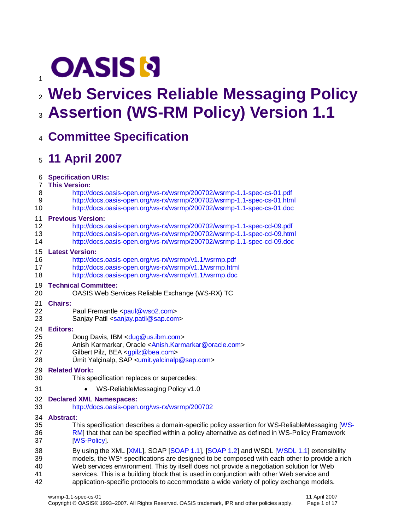# **OASIS N**

# **Web Services Reliable Messaging Policy Assertion (WS-RM Policy) Version 1.1**

# **Committee Specification**

# **11 April 2007**

**Specification URIs:**

#### **This Version:**

- <http://docs.oasis-open.org/ws-rx/wsrmp/200702/wsrmp-1.1-spec-cs-01.pdf>
- <http://docs.oasis-open.org/ws-rx/wsrmp/200702/wsrmp-1.1-spec-cs-01.html>
- <http://docs.oasis-open.org/ws-rx/wsrmp/200702/wsrmp-1.1-spec-cs-01.doc>

#### **Previous Version:**

- <http://docs.oasis-open.org/ws-rx/wsrmp/200702/wsrmp-1.1-spec-cd-09.pdf>
- <http://docs.oasis-open.org/ws-rx/wsrmp/200702/wsrmp-1.1-spec-cd-09.html>
- <http://docs.oasis-open.org/ws-rx/wsrmp/200702/wsrmp-1.1-spec-cd-09.doc>

#### **Latest Version:**

- <http://docs.oasis-open.org/ws-rx/wsrmp/v1.1/wsrmp.pdf>
- <http://docs.oasis-open.org/ws-rx/wsrmp/v1.1/wsrmp.html>
- <http://docs.oasis-open.org/ws-rx/wsrmp/v1.1/wsrmp.doc>

#### **Technical Committee:**

OASIS Web Services Reliable Exchange (WS-RX) TC

#### **Chairs:**

- 22 Paul Fremantle [<paul@wso2.com>](mailto:paul@wso2.com)
- 23 Sanjay Patil [<sanjay.patil@sap.com>](mailto:sanjay.patil@sap.com)

#### **Editors:**

- 25 Doug Davis, IBM [<dug@us.ibm.com>](mailto:dug@us.ibm.com)
- Anish Karmarkar, Oracle [<Anish.Karmarkar@oracle.com>](mailto:Anish.Karmarkar@oracle.com)
- Gilbert Pilz, BEA [<gpilz@bea.com>](mailto:gpilz@bea.com)
- Ümit Yalçinalp, SAP [<umit.yalcinalp@sap.com>](mailto:umit.yalcinalp@sap.com)
- **Related Work:**
- This specification replaces or supercedes:
- **WS-ReliableMessaging Policy v1.0**
- **Declared XML Namespaces:**
- <http://docs.oasis-open.org/ws-rx/wsrmp/200702>

#### **Abstract:**

- This specification describes a domain-specific policy assertion for WS-ReliableMessaging [\[WS-](#page-5-0) [RM\]](#page-5-0) that that can be specified within a policy alternative as defined in WS-Policy Framework **IWS-Policy**
- 38 By using the XML [\[XML\]](#page-5-2), SOAP [\[SOAP 1.1\]](#page-4-0), [\[SOAP 1.2\]](#page-5-3) and WSDL [\[WSDL 1.1\]](#page-5-4) extensibility models, the WS\* specifications are designed to be composed with each other to provide a rich Web services environment. This by itself does not provide a negotiation solution for Web services. This is a building block that is used in conjunction with other Web service and
- application-specific protocols to accommodate a wide variety of policy exchange models.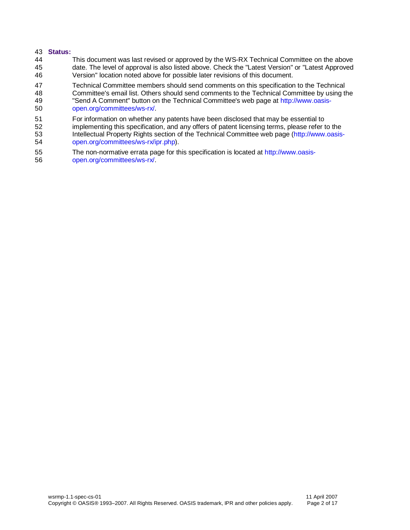#### **Status:**

 This document was last revised or approved by the WS-RX Technical Committee on the above date. The level of approval is also listed above. Check the "Latest Version" or "Latest Approved Version" location noted above for possible later revisions of this document.

47 Technical Committee members should send comments on this specification to the Technical<br>48 Committee's email list. Others should send comments to the Technical Committee by using the Committee's email list. Others should send comments to the Technical Committee by using the

- "Send A Comment" button on the Technical Committee's web page at [http://www.oasis-](http://www.oasis-open.org/committees/ws-rx/)[open.org/committees/ws-rx/.](http://www.oasis-open.org/committees/ws-rx/)
- 51 For information on whether any patents have been disclosed that may be essential to<br>52 implementing this specification, and any offers of patent licensing terms, please refer to implementing this specification, and any offers of patent licensing terms, please refer to the Intellectual Property Rights section of the Technical Committee web page [\(http://www.oasis-](http://www.oasis-open.org/committees/ws-rx/ipr.php)[open.org/committees/ws-rx/ipr.php\)](http://www.oasis-open.org/committees/ws-rx/ipr.php).
- The non-normative errata page for this specification is located at [http://www.oasis-](http://www.oasis-open.org/committees/ws-rx/)[open.org/committees/ws-rx/.](http://www.oasis-open.org/committees/ws-rx/)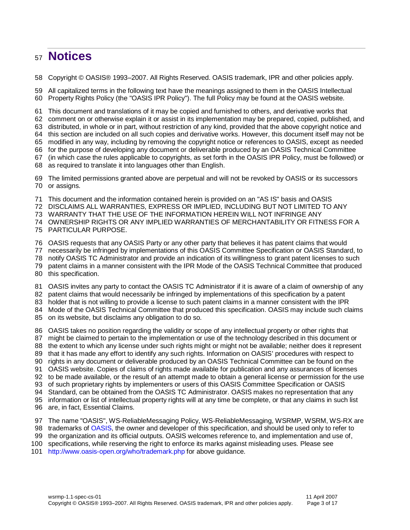# **Notices**

Copyright © OASIS® 1993–2007. All Rights Reserved. OASIS trademark, IPR and other policies apply.

 All capitalized terms in the following text have the meanings assigned to them in the OASIS Intellectual Property Rights Policy (the "OASIS IPR Policy"). The full Policy may be found at the OASIS website.

This document and translations of it may be copied and furnished to others, and derivative works that

comment on or otherwise explain it or assist in its implementation may be prepared, copied, published, and

distributed, in whole or in part, without restriction of any kind, provided that the above copyright notice and

this section are included on all such copies and derivative works. However, this document itself may not be

modified in any way, including by removing the copyright notice or references to OASIS, except as needed

for the purpose of developing any document or deliverable produced by an OASIS Technical Committee

 (in which case the rules applicable to copyrights, as set forth in the OASIS IPR Policy, must be followed) or as required to translate it into languages other than English.

 The limited permissions granted above are perpetual and will not be revoked by OASIS or its successors or assigns.

This document and the information contained herein is provided on an "AS IS" basis and OASIS

DISCLAIMS ALL WARRANTIES, EXPRESS OR IMPLIED, INCLUDING BUT NOT LIMITED TO ANY

WARRANTY THAT THE USE OF THE INFORMATION HEREIN WILL NOT INFRINGE ANY

OWNERSHIP RIGHTS OR ANY IMPLIED WARRANTIES OF MERCHANTABILITY OR FITNESS FOR A

PARTICULAR PURPOSE.

OASIS requests that any OASIS Party or any other party that believes it has patent claims that would

necessarily be infringed by implementations of this OASIS Committee Specification or OASIS Standard, to

- notify OASIS TC Administrator and provide an indication of its willingness to grant patent licenses to such
- patent claims in a manner consistent with the IPR Mode of the OASIS Technical Committee that produced

this specification.

OASIS invites any party to contact the OASIS TC Administrator if it is aware of a claim of ownership of any

patent claims that would necessarily be infringed by implementations of this specification by a patent

holder that is not willing to provide a license to such patent claims in a manner consistent with the IPR

Mode of the OASIS Technical Committee that produced this specification. OASIS may include such claims

on its website, but disclaims any obligation to do so.

OASIS takes no position regarding the validity or scope of any intellectual property or other rights that

might be claimed to pertain to the implementation or use of the technology described in this document or

- 88 the extent to which any license under such rights might or might not be available; neither does it represent
- that it has made any effort to identify any such rights. Information on OASIS' procedures with respect to

rights in any document or deliverable produced by an OASIS Technical Committee can be found on the

OASIS website. Copies of claims of rights made available for publication and any assurances of licenses

to be made available, or the result of an attempt made to obtain a general license or permission for the use

of such proprietary rights by implementers or users of this OASIS Committee Specification or OASIS

Standard, can be obtained from the OASIS TC Administrator. OASIS makes no representation that any

information or list of intellectual property rights will at any time be complete, or that any claims in such list

- are, in fact, Essential Claims.
- 97 The name "OASIS", WS-ReliableMessaging Policy, WS-ReliableMessaging, WSRMP, WSRM, WS-RX are

trademarks of [OASIS,](http://www.oasis-open.org/) the owner and developer of this specification, and should be used only to refer to

the organization and its official outputs. OASIS welcomes reference to, and implementation and use of,

specifications, while reserving the right to enforce its marks against misleading uses. Please see

<http://www.oasis-open.org/who/trademark.php> for above guidance.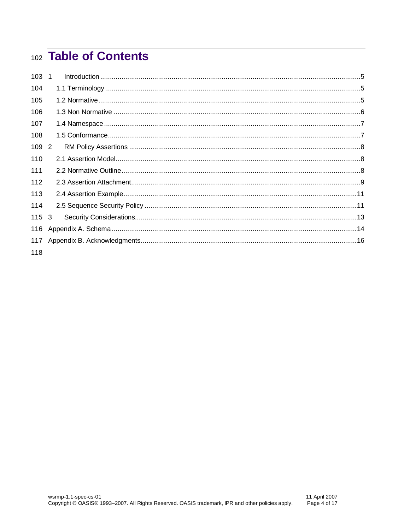# 102 Table of Contents

| 103 1     |  |
|-----------|--|
| 104       |  |
| 105       |  |
| 106       |  |
| 107       |  |
| 108       |  |
| 109 2     |  |
| 110       |  |
| 111       |  |
| 112       |  |
| 113       |  |
| 114       |  |
| $115 \t3$ |  |
| 116       |  |
| 117       |  |
| 118       |  |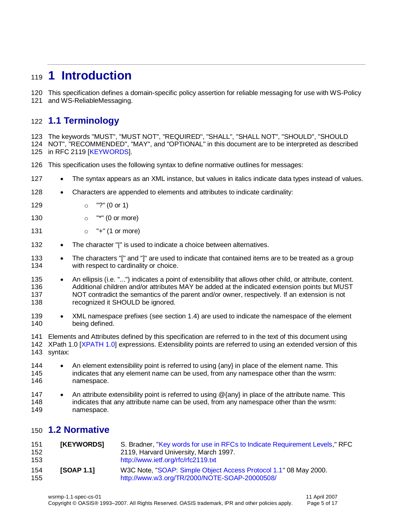# <span id="page-4-1"></span>**1 Introduction**

This specification defines a domain-specific policy assertion for reliable messaging for use with WS-Policy

and WS-ReliableMessaging.

### <span id="page-4-2"></span>**1.1 Terminology**

 The keywords "MUST", "MUST NOT", "REQUIRED", "SHALL", "SHALL NOT", "SHOULD", "SHOULD NOT", "RECOMMENDED", "MAY", and "OPTIONAL" in this document are to be interpreted as described

in RFC 2119 [\[KEYWORDS\]](#page-4-4).

- This specification uses the following syntax to define normative outlines for messages:
- 127 The syntax appears as an XML instance, but values in italics indicate data types instead of values.
- 128 Characters are appended to elements and attributes to indicate cardinality:
- o "?" (0 or 1)
- **o** "\*" (0 or more)
- 131  $\circ$  "+" (1 or more)
- 132 The character "|" is used to indicate a choice between alternatives.
- 133 The characters "[" and "]" are used to indicate that contained items are to be treated as a group 134 with respect to cardinality or choice.
- 135 An ellipsis (i.e. "...") indicates a point of extensibility that allows other child, or attribute, content. Additional children and/or attributes MAY be added at the indicated extension points but MUST NOT contradict the semantics of the parent and/or owner, respectively. If an extension is not 138 recognized it SHOULD be ignored.
- 139 XML namespace prefixes (see section [1.4\)](#page-6-0) are used to indicate the namespace of the element being defined.

 Elements and Attributes defined by this specification are referred to in the text of this document using XPath 1.0 [\[XPATH 1.0\]](#page-5-6) expressions. Extensibility points are referred to using an extended version of this syntax:

- 144 An element extensibility point is referred to using {any} in place of the element name. This indicates that any element name can be used, from any namespace other than the wsrm: namespace.
- 147 An attribute extensibility point is referred to using @{any} in place of the attribute name. This 148 indicates that any attribute name can be used, from any namespace other than the wsrm: namespace.

### <span id="page-4-3"></span>**1.2 Normative**

<span id="page-4-4"></span><span id="page-4-0"></span>

| 151<br>152<br>153 | <b>[KEYWORDS]</b> | S. Bradner, "Key words for use in RFCs to Indicate Requirement Levels," RFC<br>2119, Harvard University, March 1997.<br>http://www.ietf.org/rfc/rfc2119.txt |
|-------------------|-------------------|-------------------------------------------------------------------------------------------------------------------------------------------------------------|
| 154<br>155        | <b>ISOAP 1.11</b> | W3C Note, "SOAP: Simple Object Access Protocol 1.1" 08 May 2000.<br>http://www.w3.org/TR/2000/NOTE-SOAP-20000508/                                           |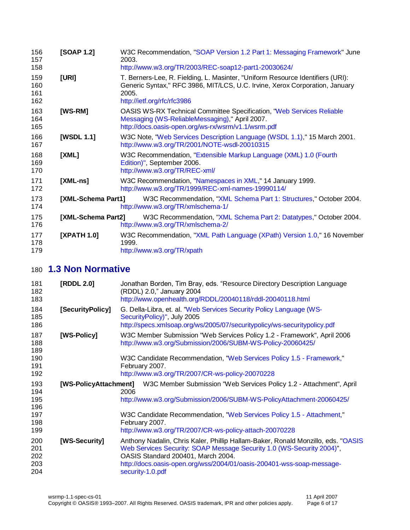<span id="page-5-4"></span><span id="page-5-3"></span><span id="page-5-2"></span><span id="page-5-0"></span>

| 156<br>157<br>158        | [SOAP 1.2]         | W3C Recommendation, "SOAP Version 1.2 Part 1: Messaging Framework" June<br>2003.<br>http://www.w3.org/TR/2003/REC-soap12-part1-20030624/                                                              |
|--------------------------|--------------------|-------------------------------------------------------------------------------------------------------------------------------------------------------------------------------------------------------|
| 159<br>160<br>161<br>162 | [URI]              | T. Berners-Lee, R. Fielding, L. Masinter, "Uniform Resource Identifiers (URI):<br>Generic Syntax," RFC 3986, MIT/LCS, U.C. Irvine, Xerox Corporation, January<br>2005.<br>http://ietf.org/rfc/rfc3986 |
| 163<br>164<br>165        | [WS-RM]            | <b>OASIS WS-RX Technical Committee Specification, "Web Services Reliable</b><br>Messaging (WS-ReliableMessaging)," April 2007.<br>http://docs.oasis-open.org/ws-rx/wsrm/v1.1/wsrm.pdf                 |
| 166<br>167               | [WSDL 1.1]         | W3C Note, "Web Services Description Language (WSDL 1.1)," 15 March 2001.<br>http://www.w3.org/TR/2001/NOTE-wsdl-20010315                                                                              |
| 168<br>169<br>170        | [XML]              | W3C Recommendation, "Extensible Markup Language (XML) 1.0 (Fourth<br>Edition)", September 2006.<br>http://www.w3.org/TR/REC-xml/                                                                      |
| 171<br>172               | $[XML-ns]$         | W3C Recommendation, "Namespaces in XML," 14 January 1999.<br>http://www.w3.org/TR/1999/REC-xml-names-19990114/                                                                                        |
| 173<br>174               | [XML-Schema Part1] | W3C Recommendation, "XML Schema Part 1: Structures," October 2004.<br>http://www.w3.org/TR/xmlschema-1/                                                                                               |
| 175<br>176               | [XML-Schema Part2] | W3C Recommendation, "XML Schema Part 2: Datatypes," October 2004.<br>http://www.w3.org/TR/xmlschema-2/                                                                                                |
| 177<br>178<br>179        | [XPATH 1.0]        | W3C Recommendation, "XML Path Language (XPath) Version 1.0," 16 November<br>1999.<br>http://www.w3.org/TR/xpath                                                                                       |

### <span id="page-5-10"></span><span id="page-5-9"></span><span id="page-5-7"></span><span id="page-5-6"></span><span id="page-5-5"></span>**1.3 Non Normative**

<span id="page-5-13"></span><span id="page-5-12"></span><span id="page-5-11"></span><span id="page-5-8"></span><span id="page-5-1"></span>

| 181<br>182<br>183               | [RDDL 2.0]            | Jonathan Borden, Tim Bray, eds. "Resource Directory Description Language<br>(RDDL) 2.0," January 2004<br>http://www.openhealth.org/RDDL/20040118/rddl-20040118.html                                                                                                                          |
|---------------------------------|-----------------------|----------------------------------------------------------------------------------------------------------------------------------------------------------------------------------------------------------------------------------------------------------------------------------------------|
| 184<br>185<br>186               | [SecurityPolicy]      | G. Della-Libra, et. al. "Web Services Security Policy Language (WS-<br>SecurityPolicy)", July 2005<br>http://specs.xmlsoap.org/ws/2005/07/securitypolicy/ws-securitypolicy.pdf                                                                                                               |
| 187<br>188<br>189<br>190        | [WS-Policy]           | W3C Member Submission "Web Services Policy 1.2 - Framework", April 2006<br>http://www.w3.org/Submission/2006/SUBM-WS-Policy-20060425/<br>W3C Candidate Recommendation, "Web Services Policy 1.5 - Framework,"                                                                                |
| 191<br>192                      |                       | February 2007.<br>http://www.w3.org/TR/2007/CR-ws-policy-20070228                                                                                                                                                                                                                            |
| 193<br>194<br>195<br>196        | [WS-PolicyAttachment] | W3C Member Submission "Web Services Policy 1.2 - Attachment", April<br>2006<br>http://www.w3.org/Submission/2006/SUBM-WS-PolicyAttachment-20060425/                                                                                                                                          |
| 197<br>198<br>199               |                       | W3C Candidate Recommendation, "Web Services Policy 1.5 - Attachment,"<br>February 2007.<br>http://www.w3.org/TR/2007/CR-ws-policy-attach-20070228                                                                                                                                            |
| 200<br>201<br>202<br>203<br>204 | [WS-Security]         | Anthony Nadalin, Chris Kaler, Phillip Hallam-Baker, Ronald Monzillo, eds. "OASIS<br>Web Services Security: SOAP Message Security 1.0 (WS-Security 2004)",<br>OASIS Standard 200401, March 2004.<br>http://docs.oasis-open.org/wss/2004/01/oasis-200401-wss-soap-message-<br>security-1.0.pdf |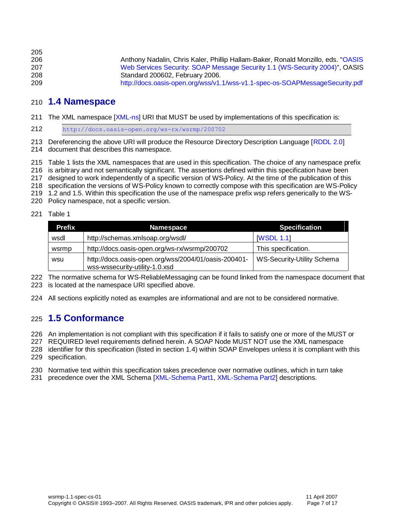| 205 |                                                                                   |
|-----|-----------------------------------------------------------------------------------|
| 206 | Anthony Nadalin, Chris Kaler, Phillip Hallam-Baker, Ronald Monzillo, eds. "OASIS" |
| 207 | Web Services Security: SOAP Message Security 1.1 (WS-Security 2004)", OASIS       |
| 208 | Standard 200602, February 2006.                                                   |
| 209 | http://docs.oasis-open.org/wss/v1.1/wss-v1.1-spec-os-SOAPMessageSecurity.pdf      |

#### <span id="page-6-0"></span>**1.4 Namespace**

The XML namespace [\[XML-ns\]](#page-5-7) URI that MUST be used by implementations of this specification is:

<http://docs.oasis-open.org/ws-rx/wsrmp/200702>

 Dereferencing the above URI will produce the Resource Directory Description Language [\[RDDL 2.0\]](#page-5-8) document that describes this namespace.

Table 1 lists the XML namespaces that are used in this specification. The choice of any namespace prefix

is arbitrary and not semantically significant. The assertions defined within this specification have been

designed to work independently of a specific version of WS-Policy. At the time of the publication of this

specification the versions of WS-Policy known to correctly compose with this specification are WS-Policy

1.2 and 1.5. Within this specification the use of the namespace prefix wsp refers generically to the WS-

Policy namespace, not a specific version.

#### Table 1

| <b>Prefix</b> | <b>Namespace</b>                                                                       | <b>Specification</b>       |
|---------------|----------------------------------------------------------------------------------------|----------------------------|
| wsdl          | http://schemas.xmlsoap.org/wsdl/                                                       | <b>IWSDL 1.1</b>           |
| wsrmp         | http://docs.oasis-open.org/ws-rx/wsrmp/200702                                          | This specification.        |
| wsu           | http://docs.oasis-open.org/wss/2004/01/oasis-200401-<br>wss-wssecurity-utility-1.0.xsd | WS-Security-Utility Schema |

 The normative schema for WS-ReliableMessaging can be found linked from the namespace document that is located at the namespace URI specified above.

All sections explicitly noted as examples are informational and are not to be considered normative.

#### <span id="page-6-1"></span>**1.5 Conformance**

An implementation is not compliant with this specification if it fails to satisfy one or more of the MUST or

REQUIRED level requirements defined herein. A SOAP Node MUST NOT use the XML namespace

 identifier for this specification (listed in section [1.4\)](#page-6-0) within SOAP Envelopes unless it is compliant with this specification.

Normative text within this specification takes precedence over normative outlines, which in turn take

231 precedence over the XML Schema [\[XML-Schema Part1,](#page-5-9) [XML-Schema Part2\]](#page-5-10) descriptions.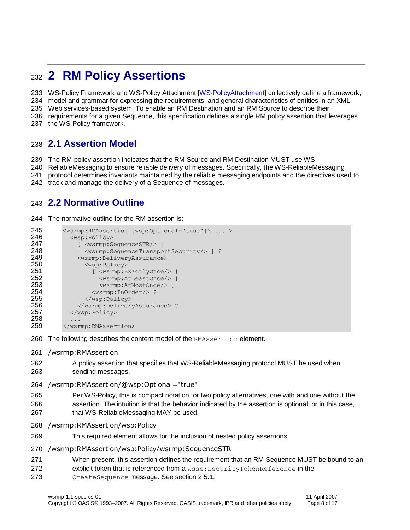# <span id="page-7-0"></span>**2 RM Policy Assertions**

WS-Policy Framework and WS-Policy Attachment [\[WS-PolicyAttachment\]](#page-5-11) collectively define a framework,

model and grammar for expressing the requirements, and general characteristics of entities in an XML

Web services-based system. To enable an RM Destination and an RM Source to describe their

requirements for a given Sequence, this specification defines a single RM policy assertion that leverages

the WS-Policy framework.

### <span id="page-7-1"></span>**2.1 Assertion Model**

The RM policy assertion indicates that the RM Source and RM Destination MUST use WS-

ReliableMessaging to ensure reliable delivery of messages. Specifically, the WS-ReliableMessaging

- protocol determines invariants maintained by the reliable messaging endpoints and the directives used to
- track and manage the delivery of a Sequence of messages.

### <span id="page-7-2"></span>**2.2 Normative Outline**

The normative outline for the RM assertion is:

```
245 <wsrmp:RMAssertion [wsp:Optional="true"]? ... ><br>246 <wsp:Policy>
246 <wsp:Policy>
            [ <wsrmp:SequenceSTR/> |
248 <wsrmp:SequenceTransportSecurity/> ] ?
249 <wsrmp:DeliveryAssurance>
              <wsp:Policy>
251 [ <wsrmp:ExactlyOnce/> |
252 <wsrmp:AtLeastOnce/> |
                  253 <wsrmp:AtMostOnce/> ]
254 <wsrmp:InOrder/>?<br>255 </wsp:Policy>
              </wsp:Policy>
256 </wsrmp:DeliveryAssurance> ?<br>257 </wsp:Policy>
          </wsp:Policy>
258 ... 
259 </wsrmp:RMAssertion>
```
- 260 The following describes the content model of the RMAssertion element.
- /wsrmp:RMAssertion
- A policy assertion that specifies that WS-ReliableMessaging protocol MUST be used when sending messages.
- /wsrmp:RMAssertion/@wsp:Optional="true"
- Per WS-Policy, this is compact notation for two policy alternatives, one with and one without the
- assertion. The intuition is that the behavior indicated by the assertion is optional, or in this case,
- 267 that WS-ReliableMessaging MAY be used.
- /wsrmp:RMAssertion/wsp:Policy
- This required element allows for the inclusion of nested policy assertions.
- /wsrmp:RMAssertion/wsp:Policy/wsrmp:SequenceSTR
- When present, this assertion defines the requirement that an RM Sequence MUST be bound to an
- 272 explicit token that is referenced from a wsse: SecurityTokenReference in the
- CreateSequence message. See section [2.5.1.](#page-10-2)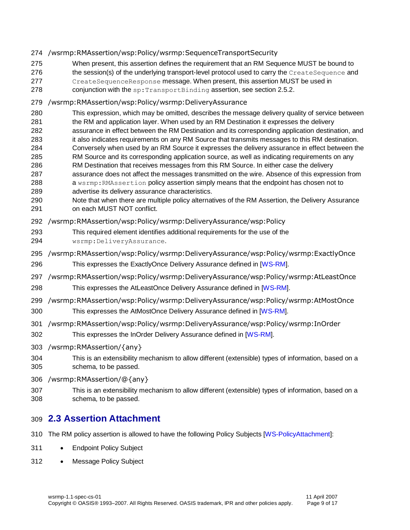#### /wsrmp:RMAssertion/wsp:Policy/wsrmp:SequenceTransportSecurity

- When present, this assertion defines the requirement that an RM Sequence MUST be bound to
- 276 the session(s) of the underlying transport-level protocol used to carry the CreateSequence and
- CreateSequenceResponse message. When present, this assertion MUST be used in
- 278 conjunction with the sp: TransportBinding assertion, see section [2.5.2.](#page-11-0)

#### /wsrmp:RMAssertion/wsp:Policy/wsrmp:DeliveryAssurance

- This expression, which may be omitted, describes the message delivery quality of service between
- the RM and application layer. When used by an RM Destination it expresses the delivery
- assurance in effect between the RM Destination and its corresponding application destination, and it also indicates requirements on any RM Source that transmits messages to this RM destination.
- Conversely when used by an RM Source it expresses the delivery assurance in effect between the
- RM Source and its corresponding application source, as well as indicating requirements on any
- RM Destination that receives messages from this RM Source. In either case the delivery
- assurance does not affect the messages transmitted on the wire. Absence of this expression from 288 a wsrmp: RMAssertion policy assertion simply means that the endpoint has chosen not to
- advertise its delivery assurance characteristics.
- Note that when there are multiple policy alternatives of the RM Assertion, the Delivery Assurance on each MUST NOT conflict.
- /wsrmp:RMAssertion/wsp:Policy/wsrmp:DeliveryAssurance/wsp:Policy
- This required element identifies additional requirements for the use of the
- wsrmp:DeliveryAssurance.
- /wsrmp:RMAssertion/wsp:Policy/wsrmp:DeliveryAssurance/wsp:Policy/wsrmp:ExactlyOnce
- This expresses the ExactlyOnce Delivery Assurance defined in [\[WS-RM\]](#page-5-0).
- /wsrmp:RMAssertion/wsp:Policy/wsrmp:DeliveryAssurance/wsp:Policy/wsrmp:AtLeastOnce
- This expresses the AtLeastOnce Delivery Assurance defined in [\[WS-RM\]](#page-5-0).
- /wsrmp:RMAssertion/wsp:Policy/wsrmp:DeliveryAssurance/wsp:Policy/wsrmp:AtMostOnce
- This expresses the AtMostOnce Delivery Assurance defined in [\[WS-RM\]](#page-5-0).
- /wsrmp:RMAssertion/wsp:Policy/wsrmp:DeliveryAssurance/wsp:Policy/wsrmp:InOrder
- This expresses the InOrder Delivery Assurance defined in [\[WS-RM\]](#page-5-0).
- /wsrmp:RMAssertion/{any}
- This is an extensibility mechanism to allow different (extensible) types of information, based on a schema, to be passed.
- /wsrmp:RMAssertion/@{any}
- This is an extensibility mechanism to allow different (extensible) types of information, based on a schema, to be passed.

### <span id="page-8-0"></span>**2.3 Assertion Attachment**

- The RM policy assertion is allowed to have the following Policy Subjects [\[WS-PolicyAttachment\]](#page-5-11):
- 311 Endpoint Policy Subject
- 312 Message Policy Subject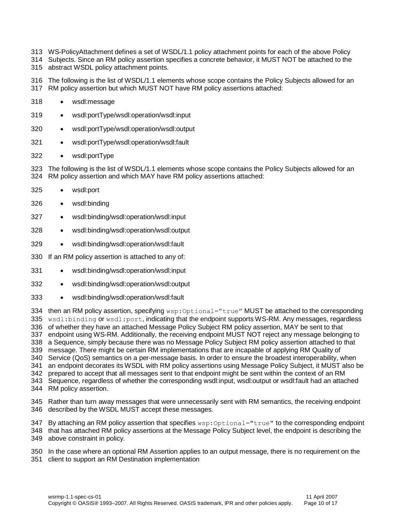- WS-PolicyAttachment defines a set of WSDL/1.1 policy attachment points for each of the above Policy
- Subjects. Since an RM policy assertion specifies a concrete behavior, it MUST NOT be attached to the abstract WSDL policy attachment points.
- The following is the list of WSDL/1.1 elements whose scope contains the Policy Subjects allowed for an RM policy assertion but which MUST NOT have RM policy assertions attached:
- 318 · wsdl:message
- wsdl:portType/wsdl:operation/wsdl:input
- wsdl:portType/wsdl:operation/wsdl:output
- wsdl:portType/wsdl:operation/wsdl:fault
- 322 wsdl:portType

 The following is the list of WSDL/1.1 elements whose scope contains the Policy Subjects allowed for an RM policy assertion and which MAY have RM policy assertions attached:

- wsdl:port
- wsdl:binding
- wsdl:binding/wsdl:operation/wsdl:input
- wsdl:binding/wsdl:operation/wsdl:output
- wsdl:binding/wsdl:operation/wsdl:fault
- If an RM policy assertion is attached to any of:
- wsdl:binding/wsdl:operation/wsdl:input
- wsdl:binding/wsdl:operation/wsdl:output
- wsdl:binding/wsdl:operation/wsdl:fault

334 then an RM policy assertion, specifying wsp: Optional="true" MUST be attached to the corresponding 335 wsdl:binding or wsdl:port, indicating that the endpoint supports WS-RM. Any messages, regardless of whether they have an attached Message Policy Subject RM policy assertion, MAY be sent to that endpoint using WS-RM. Additionally, the receiving endpoint MUST NOT reject any message belonging to a Sequence, simply because there was no Message Policy Subject RM policy assertion attached to that message. There might be certain RM implementations that are incapable of applying RM Quality of Service (QoS) semantics on a per-message basis. In order to ensure the broadest interoperability, when an endpoint decorates its WSDL with RM policy assertions using Message Policy Subject, it MUST also be prepared to accept that all messages sent to that endpoint might be sent within the context of an RM Sequence, regardless of whether the corresponding wsdl:input, wsdl:output or wsdl:fault had an attached RM policy assertion.

 Rather than turn away messages that were unnecessarily sent with RM semantics, the receiving endpoint described by the WSDL MUST accept these messages.

347 By attaching an RM policy assertion that specifies wsp: Optional="true" to the corresponding endpoint that has attached RM policy assertions at the Message Policy Subject level, the endpoint is describing the above constraint in policy.

In the case where an optional RM Assertion applies to an output message, there is no requirement on the

client to support an RM Destination implementation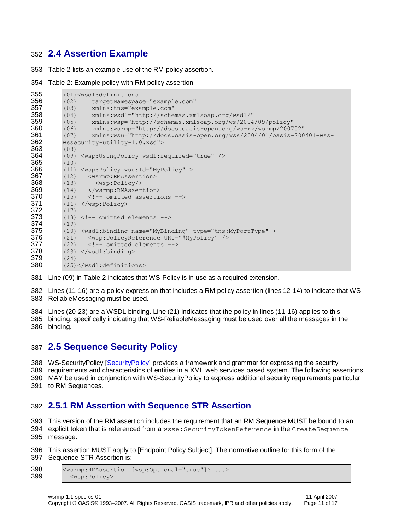### <span id="page-10-0"></span>**2.4 Assertion Example**

Table 2 lists an example use of the RM policy assertion.

Table 2: Example policy with RM policy assertion

```
355 (01)<wsdl:definitions
356 (02) targetNamespace="example.com"
          357 (03) xmlns:tns="example.com"
358 (04) xmlns:wsdl="http://schemas.xmlsoap.org/wsdl/"
359 (05) xmlns:wsp="http://schemas.xmlsoap.org/ws/2004/09/policy"
360 (06) xmlns:wsrmp="http://docs.oasis-open.org/ws-rx/wsrmp/200702"
361 (07) xmlns:wsu="http://docs.oasis-open.org/wss/2004/01/oasis-200401-wss-<br>362 wssecurity-utility-1.0 xsd">
          362 wssecurity-utility-1.0.xsd">
363 (08)<br>364 (09)
          364 (09) <wsp:UsingPolicy wsdl:required="true" />
365 (10)
366 (11) <wsp:Policy wsu:Id="MyPolicy" ><br>367 (12) <wsrmp:RMAssertion>
          (12) <wsrmp: RMAssertion>
368 (13) <wsp:Policy/>
369 (14) </wsrmp:RMAssertion><br>370 (15) <!-- omitted asserti
          (15) < !-- omitted assertions -->
371 (16) \langle/wsp:Policy><br>372 (17)
          (17)373 (18) \langle --- omitted elements --> 374 (19)
          (19)375 (20) <wsdl:binding name="MyBinding" type="tns:MyPortType" >
376 (21) <wsp:PolicyReference URI="#MyPolicy" /><br>377 (22) <!-- omitted elements -->
          (22) <!-- omitted elements -->
378 (23) \langle/wsdl:binding>
379 (24)<br>380 (25)
          380 (25)</wsdl:definitions>
```
Line (09) in Table 2 indicates that WS-Policy is in use as a required extension.

 Lines (11-16) are a policy expression that includes a RM policy assertion (lines 12-14) to indicate that WS-ReliableMessaging must be used.

 Lines (20-23) are a WSDL binding. Line (21) indicates that the policy in lines (11-16) applies to this binding, specifically indicating that WS-ReliableMessaging must be used over all the messages in the binding.

### <span id="page-10-1"></span>**2.5 Sequence Security Policy**

 WS-SecurityPolicy [\[SecurityPolicy\]](#page-5-12) provides a framework and grammar for expressing the security requirements and characteristics of entities in a XML web services based system. The following assertions MAY be used in conjunction with WS-SecurityPolicy to express additional security requirements particular to RM Sequences.

### <span id="page-10-2"></span>**2.5.1 RM Assertion with Sequence STR Assertion**

This version of the RM assertion includes the requirement that an RM Sequence MUST be bound to an

 explicit token that is referenced from a wsse:SecurityTokenReference in the CreateSequence message.

 This assertion MUST apply to [Endpoint Policy Subject]. The normative outline for this form of the Sequence STR Assertion is:

```
398 <wsrmp:RMAssertion [wsp:Optional="true"]? ...>
399 <wsp:Policy>
```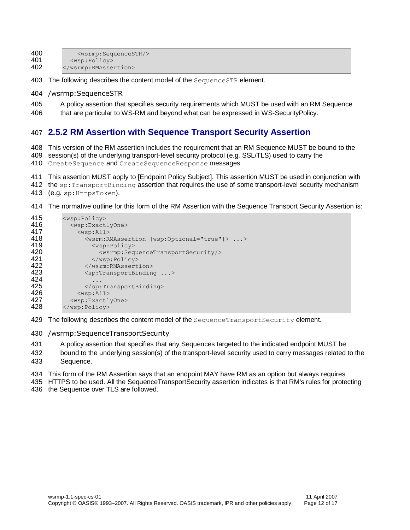400 <wsrmp:SequenceSTR/><br>401 <wsp:Policy> <wsp:Policy>

- </wsrmp:RMAssertion>
- 403 The following describes the content model of the SequenceSTR element.
- /wsrmp:SequenceSTR
- A policy assertion that specifies security requirements which MUST be used with an RM Sequence
- <span id="page-11-0"></span>that are particular to WS-RM and beyond what can be expressed in WS-SecurityPolicy.

#### **2.5.2 RM Assertion with Sequence Transport Security Assertion**

 This version of the RM assertion includes the requirement that an RM Sequence MUST be bound to the session(s) of the underlying transport-level security protocol (e.g. SSL/TLS) used to carry the

410 CreateSequence and CreateSequenceResponse messages.

This assertion MUST apply to [Endpoint Policy Subject]. This assertion MUST be used in conjunction with

- 412 the sp: TransportBinding assertion that requires the use of some transport-level security mechanism
- (e.g. sp:HttpsToken).
- The normative outline for this form of the RM Assertion with the Sequence Transport Security Assertion is:

| 415 | $<$ wsp:Policy>                                                      |  |  |
|-----|----------------------------------------------------------------------|--|--|
| 416 | <wsp:exactlyone></wsp:exactlyone>                                    |  |  |
| 417 | $<$ wsp:All>                                                         |  |  |
| 418 | <wsrm:rmassertion [wsp:optional="true" ]=""> &gt;</wsrm:rmassertion> |  |  |
| 419 | $<$ wsp:Policy>                                                      |  |  |
| 420 | <wsrmp:sequencetransportsecurity></wsrmp:sequencetransportsecurity>  |  |  |
| 421 | $\langle$ /wsp:Policy>                                               |  |  |
| 422 |                                                                      |  |  |
| 423 | $\langle sp:TransportBinding \dots \rangle$                          |  |  |
| 424 |                                                                      |  |  |
| 425 | $\langle$ /sp:TransportBinding>                                      |  |  |
| 426 | $<$ wsp:All>                                                         |  |  |
| 427 | <wsp:exactlyone></wsp:exactlyone>                                    |  |  |
| 428 | $\langle$ /wsp:Policy>                                               |  |  |

429 The following describes the content model of the SequenceTransportSecurity element.

/wsrmp:SequenceTransportSecurity

A policy assertion that specifies that any Sequences targeted to the indicated endpoint MUST be

 bound to the underlying session(s) of the transport-level security used to carry messages related to the Sequence.

This form of the RM Assertion says that an endpoint MAY have RM as an option but always requires

HTTPS to be used. All the SequenceTransportSecurity assertion indicates is that RM's rules for protecting

the Sequence over TLS are followed.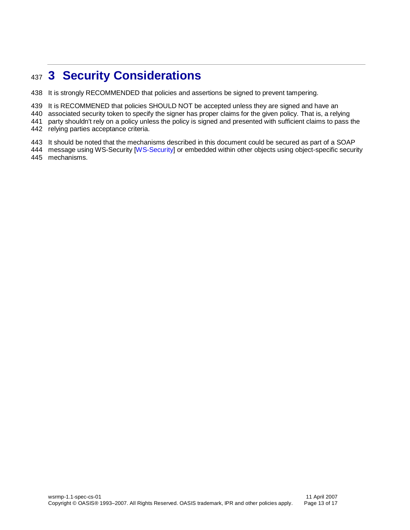# <span id="page-12-0"></span>**3 Security Considerations**

It is strongly RECOMMENDED that policies and assertions be signed to prevent tampering.

439 It is RECOMMENED that policies SHOULD NOT be accepted unless they are signed and have an

associated security token to specify the signer has proper claims for the given policy. That is, a relying

party shouldn't rely on a policy unless the policy is signed and presented with sufficient claims to pass the

relying parties acceptance criteria.

It should be noted that the mechanisms described in this document could be secured as part of a SOAP

444 message using WS-Security [\[WS-Security\]](#page-5-13) or embedded within other objects using object-specific security mechanisms.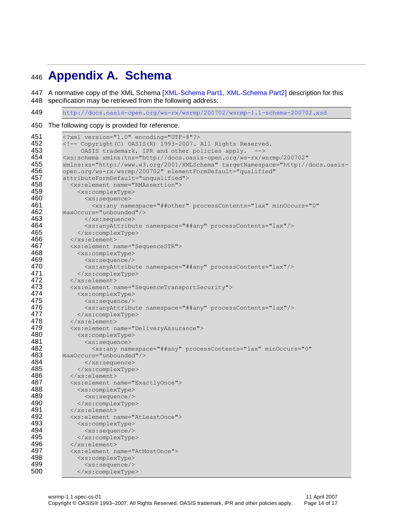# <span id="page-13-0"></span>**Appendix A. Schema**

447 A normative copy of the XML Schema [\[XML-Schema Part1,](#page-5-9) [XML-Schema Part2\]](#page-5-10) description for this specification may be retrieved from the following address:

<http://docs.oasis-open.org/ws-rx/wsrmp/200702/wsrmp-1.1-schema-200702.xsd>

The following copy is provided for reference.

| 451        | xml version="1.0" encoding="UTF-8"?                                                          |  |  |
|------------|----------------------------------------------------------------------------------------------|--|--|
| 452        | <!-- Copyright (C) OASIS (R) 1993-2007. All Rights Reserved.</th>                            |  |  |
| 453        | OASIS trademark, IPR and other policies apply.                                               |  |  |
| 454        | <xs:schema <="" th="" xmlns:tns="http://docs.oasis-open.org/ws-rx/wsrmp/200702"></xs:schema> |  |  |
| 455        | xmlns:xs="http://www.w3.org/2001/XMLSchema" targetNamespace="http://docs.oasis-              |  |  |
| 456        | open.org/ws-rx/wsrmp/200702" elementFormDefault="qualified"                                  |  |  |
| 457        | attributeFormDefault="unqualified">                                                          |  |  |
| 458        | <xs:element name="RMAssertion"></xs:element>                                                 |  |  |
| 459        | <xs:complextype></xs:complextype>                                                            |  |  |
| 460        | <xs:sequence></xs:sequence>                                                                  |  |  |
| 461        | <xs:any <="" minoccurs="0" namespace="##other" processcontents="lax" th=""></xs:any>         |  |  |
| 462        | maxOccurs="unbounded"/>                                                                      |  |  |
| 463        |                                                                                              |  |  |
| 464        | <xs:anyattribute namespace="##any" processcontents="lax"></xs:anyattribute>                  |  |  |
| 465        | $\langle xs:complexType \rangle$                                                             |  |  |
| 466        | $\langle xs : \text{element} \rangle$                                                        |  |  |
| 467        | <xs:element name="SequenceSTR"></xs:element>                                                 |  |  |
| 468        | <xs:complextype></xs:complextype>                                                            |  |  |
| 469        | $\langle xs:sequence \rangle$                                                                |  |  |
| 470        | <xs:anyattribute namespace="##any" processcontents="lax"></xs:anyattribute>                  |  |  |
| 471        | $\langle xs:complexType\rangle$                                                              |  |  |
| 472        | $\langle xs : \text{element} \rangle$                                                        |  |  |
| 473        | <xs:element name="SequenceTransportSecurity"></xs:element>                                   |  |  |
| 474        | <xs:complextype></xs:complextype>                                                            |  |  |
| 475        | $<$ xs: sequence/>                                                                           |  |  |
| 476        | <xs:anyattribute namespace="##any" processcontents="lax"></xs:anyattribute>                  |  |  |
| 477        |                                                                                              |  |  |
| 478        |                                                                                              |  |  |
| 479        | <xs:element name="DeliveryAssurance"></xs:element>                                           |  |  |
| 480        | <xs:complextype></xs:complextype>                                                            |  |  |
| 481        | <xs:sequence></xs:sequence>                                                                  |  |  |
| 482        | <xs:any <="" minoccurs="0" namespace="##any" processcontents="lax" th=""></xs:any>           |  |  |
| 483        | maxOccurs="unbounded"/>                                                                      |  |  |
| 484        | $\langle x s : \text{sequence} \rangle$                                                      |  |  |
| 485<br>486 |                                                                                              |  |  |
| 487        | $\langle xs : \text{element} \rangle$                                                        |  |  |
| 488        | <xs:element name="ExactlyOnce"></xs:element>                                                 |  |  |
| 489        | <xs:complextype></xs:complextype>                                                            |  |  |
| 490        | <xs:sequence></xs:sequence>                                                                  |  |  |
| 491        | <br>$\langle xs : \text{element} \rangle$                                                    |  |  |
| 492        | <xs:element name="AtLeastOnce"></xs:element>                                                 |  |  |
| 493        | <xs:complextype></xs:complextype>                                                            |  |  |
| 494        | $\langle xs:sequence \rangle$                                                                |  |  |
| 495        |                                                                                              |  |  |
| 496        | $\langle x s : \text{element} \rangle$                                                       |  |  |
| 497        | <xs:element name="AtMostOnce"></xs:element>                                                  |  |  |
| 498        | <xs:complextype></xs:complextype>                                                            |  |  |
| 499        | $<$ xs: sequence/>                                                                           |  |  |
| 500        |                                                                                              |  |  |
|            |                                                                                              |  |  |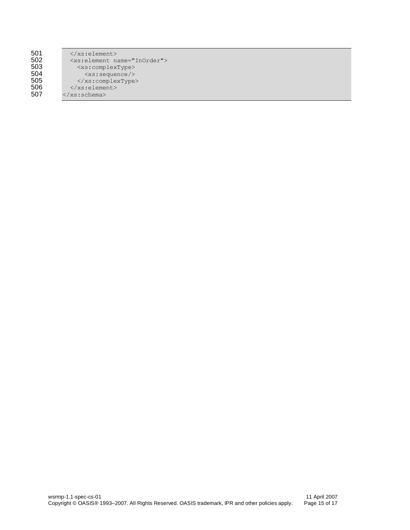| 501 |
|-----|
| 502 |
| 503 |
| 504 |
| 505 |
| 506 |
| 507 |

 $\langle xs:\text{element}\rangle$ 502 <xs:element name="InOrder"> 503 <xs:complexType> 504 <xs:sequence/>  $505$   $\langle xs:complexType \rangle$  $\langle xs:element\rangle$ </xs:schema>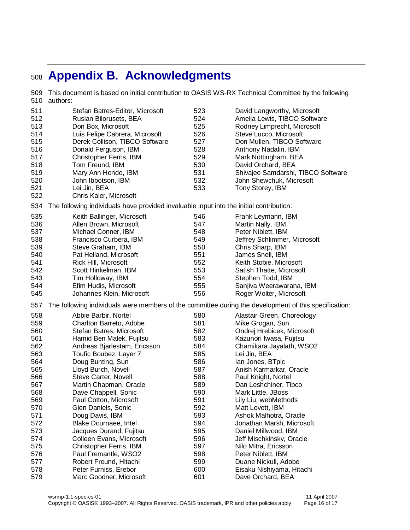# <span id="page-15-0"></span>**Appendix B. Acknowledgments**

 This document is based on initial contribution to OASIS WS-RX Technical Committee by the following authors: Stefan Batres-Editor, Microsoft Ruslan Bilorusets, BEA Don Box, Microsoft Luis Felipe Cabrera, Microsoft Derek Collison, TIBCO Software Donald Ferguson, IBM Christopher Ferris, IBM Tom Freund, IBM 519 Mary Ann Hondo, IBM<br>520 John Ibbotson. IBM John Ibbotson, IBM Lei Jin, BEA Chris Kaler, Microsoft David Langworthy, Microsoft Amelia Lewis, TIBCO Software Rodney Limprecht, Microsoft Steve Lucco, Microsoft Don Mullen, TIBCO Software Anthony Nadalin, IBM Mark Nottingham, BEA David Orchard, BEA Shivajee Samdarshi, TIBCO Software John Shewchuk, Microsoft Tony Storey, IBM The following individuals have provided invaluable input into the initial contribution: Keith Ballinger, Microsoft Allen Brown, Microsoft Michael Conner, IBM Francisco Curbera, IBM Steve Graham, IBM Pat Helland, Microsoft Rick Hill, Microsoft Scott Hinkelman, IBM Tim Holloway, IBM Efim Hudis, Microsoft Johannes Klein, Microsoft Frank Leymann, IBM Martin Nally, IBM Peter Niblett, IBM Jeffrey Schlimmer, Microsoft Chris Sharp, IBM James Snell, IBM Keith Stobie, Microsoft Satish Thatte, Microsoft Stephen Todd, IBM Sanjiva Weerawarana, IBM Roger Wolter, Microsoft The following individuals were members of the committee during the development of this specification: Abbie Barbir, Nortel Charlton Barreto, Adobe Stefan Batres, Microsoft Hamid Ben Malek, Fujitsu Andreas Bjarlestam, Ericsson Toufic Boubez, Layer 7 Doug Bunting, Sun Lloyd Burch, Novell Steve Carter, Novell Martin Chapman, Oracle Dave Chappell, Sonic Paul Cotton, Microsoft Glen Daniels, Sonic Doug Davis, IBM Blake Dournaee, Intel Jacques Durand, Fujitsu Colleen Evans, Microsoft Christopher Ferris, IBM Paul Fremantle, WSO2 Robert Freund, Hitachi Peter Furniss, Erebor Marc Goodner, Microsoft Alastair Green, Choreology Mike Grogan, Sun Ondrej Hrebicek, Microsoft Kazunori Iwasa, Fujitsu Chamikara Jayalath, WSO2 Lei Jin, BEA Ian Jones, BTplc Anish Karmarkar, Oracle Paul Knight, Nortel Dan Leshchiner, Tibco Mark Little, JBoss Lily Liu, webMethods Matt Lovett, IBM Ashok Malhotra, Oracle Jonathan Marsh, Microsoft Daniel Millwood, IBM Jeff Mischkinsky, Oracle Nilo Mitra, Ericsson Peter Niblett, IBM Duane Nickull, Adobe Eisaku Nishiyama, Hitachi Dave Orchard, BEA